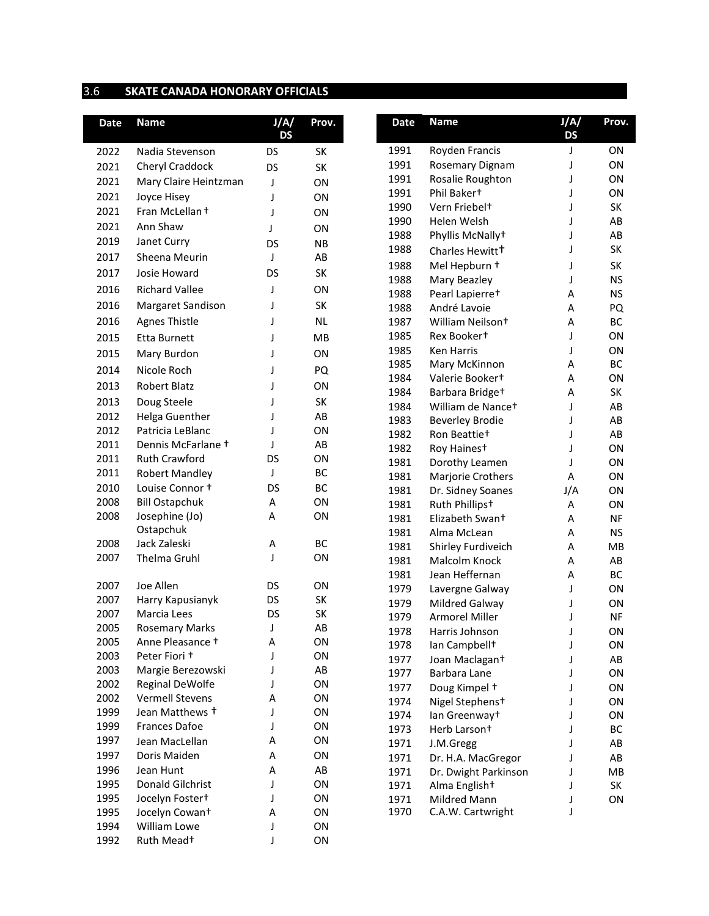## 3.6 **SKATE CANADA HONORARY OFFICIALS**

| <b>Date</b> | <b>Name</b>                               | J/A/<br><b>DS</b> | Prov.           | <b>Date</b> | <b>Name</b>                  | J/A/<br><b>DS</b> | Prov.     |
|-------------|-------------------------------------------|-------------------|-----------------|-------------|------------------------------|-------------------|-----------|
| 2022        | Nadia Stevenson                           | <b>DS</b>         | SK              | 1991        | Royden Francis               | J                 | ON        |
| 2021        | Cheryl Craddock                           | <b>DS</b>         | SK              | 1991        | Rosemary Dignam              | J                 | ON        |
| 2021        | Mary Claire Heintzman                     | J                 | ON              | 1991        | Rosalie Roughton             | J                 | ON        |
| 2021        | Joyce Hisey                               | J                 | ON              | 1991        | Phil Bakert                  | J                 | ON        |
| 2021        | Fran McLellan +                           | J                 | ON              | 1990        | Vern Friebel <sup>+</sup>    | J                 | SK        |
| 2021        | Ann Shaw                                  | J                 | ON              | 1990        | Helen Welsh                  | J                 | AB        |
| 2019        | Janet Curry                               |                   |                 | 1988        | Phyllis McNally+             | J                 | AB        |
| 2017        |                                           | <b>DS</b><br>J    | <b>NB</b><br>AB | 1988        | Charles Hewitt <sup>+</sup>  | J                 | SK        |
|             | Sheena Meurin                             |                   |                 | 1988        | Mel Hepburn +                | J                 | SK        |
| 2017        | Josie Howard                              | DS                | SK              | 1988        | Mary Beazley                 | J                 | <b>NS</b> |
| 2016        | <b>Richard Vallee</b>                     | J                 | ON              | 1988        | Pearl Lapierre <sup>+</sup>  | А                 | <b>NS</b> |
| 2016        | Margaret Sandison                         | J                 | SK              | 1988        | André Lavoie                 | Α                 | PQ        |
| 2016        | <b>Agnes Thistle</b>                      | J                 | <b>NL</b>       | 1987        | William Neilson <sup>+</sup> | Α                 | ВC        |
| 2015        | Etta Burnett                              | J                 | MB              | 1985        | Rex Bookert                  | J                 | ON        |
| 2015        | Mary Burdon                               | J                 | ON              | 1985        | Ken Harris                   | J                 | ON        |
| 2014        | Nicole Roch                               | J                 | PQ              | 1985        | Mary McKinnon                | А                 | BC        |
|             |                                           |                   |                 | 1984        | Valerie Bookert              | Α                 | ON        |
| 2013        | Robert Blatz                              | J                 | ON              | 1984        | Barbara Bridge <sup>+</sup>  | Α                 | SK        |
| 2013        | Doug Steele                               |                   | SK              | 1984        | William de Nancet            | J                 | AB        |
| 2012        | Helga Guenther                            | J                 | AB              | 1983        | <b>Beverley Brodie</b>       | J                 | AB        |
| 2012        | Patricia LeBlanc                          | J                 | ON              | 1982        | Ron Beattie <sup>+</sup>     | J                 | AB        |
| 2011        | Dennis McFarlane +                        | T                 | AB              | 1982        | Roy Hainest                  | J                 | ON        |
| 2011        | <b>Ruth Crawford</b>                      | DS                | ON              | 1981        | Dorothy Leamen               | J                 | ON        |
| 2011        | <b>Robert Mandley</b>                     | J                 | BC              | 1981        | Marjorie Crothers            | Α                 | ON        |
| 2010        | Louise Connor +                           | <b>DS</b>         | <b>BC</b>       | 1981        | Dr. Sidney Soanes            | J/A               | ON        |
| 2008        | <b>Bill Ostapchuk</b>                     | Α                 | ON              | 1981        | Ruth Phillips <sup>+</sup>   | Α                 | ON        |
| 2008        | Josephine (Jo)                            | A                 | ON              | 1981        | Elizabeth Swan+              | Α                 | <b>NF</b> |
|             | Ostapchuk                                 |                   |                 | 1981        | Alma McLean                  | Α                 | <b>NS</b> |
| 2008        | Jack Zaleski                              | Α                 | BC              | 1981        | Shirley Furdiveich           | А                 | MB        |
| 2007        | Thelma Gruhl                              | J                 | ON              | 1981        | Malcolm Knock                | Α                 | AB        |
|             |                                           |                   |                 | 1981        | Jean Heffernan               | Α                 | BC        |
| 2007        | Joe Allen                                 | DS                | ON              | 1979        | Lavergne Galway              | J                 | ON        |
| 2007        | Harry Kapusianyk                          | DS                | SK              | 1979        | Mildred Galway               | J                 | ON        |
| 2007        | Marcia Lees                               | <b>DS</b>         | SK              | 1979        | <b>Armorel Miller</b>        | J                 | <b>NF</b> |
| 2005        | <b>Rosemary Marks</b>                     | J                 | AB              | 1978        | Harris Johnson               |                   | ON        |
| 2005        | Anne Pleasance +                          | А                 | ON              | 1978        | Ian Campbell <sup>+</sup>    | J                 | ON        |
| 2003        | Peter Fiori +                             | J                 | ON              | 1977        | Joan Maclagan+               | J                 | AB        |
| 2003        | Margie Berezowski                         | J                 | AB              | 1977        | Barbara Lane                 | J                 | ON        |
| 2002        | Reginal DeWolfe                           | J                 | ON              | 1977        | Doug Kimpel +                | J                 | ON        |
| 2002        | <b>Vermell Stevens</b><br>Jean Matthews + | Α                 | ON              | 1974        | Nigel Stephens+              | J                 | ON        |
| 1999        |                                           | J                 | ON              | 1974        | lan Greenway <sup>+</sup>    | J                 | ON        |
| 1999        | <b>Frances Dafoe</b>                      |                   | ON              | 1973        | Herb Larson <sup>+</sup>     | J                 | BC        |
| 1997        | Jean MacLellan                            | А                 | ON              | 1971        | J.M.Gregg                    | J                 | AB        |
| 1997        | Doris Maiden                              | Α                 | ON              | 1971        | Dr. H.A. MacGregor           | J                 | AB        |
| 1996        | Jean Hunt                                 | А                 | AB              | 1971        | Dr. Dwight Parkinson         | J                 | MВ        |
| 1995        | <b>Donald Gilchrist</b>                   | J                 | ON              | 1971        | Alma English <sup>+</sup>    | J                 | SK        |
| 1995        | Jocelyn Foster+                           |                   | ON              | 1971        | Mildred Mann                 | J                 | ON        |
| 1995        | Jocelyn Cowant                            | А                 | ON              | 1970        | C.A.W. Cartwright            | J                 |           |
| 1994        | William Lowe                              | J                 | ON              |             |                              |                   |           |
| 1992        | Ruth Mead+                                | J                 | ON              |             |                              |                   |           |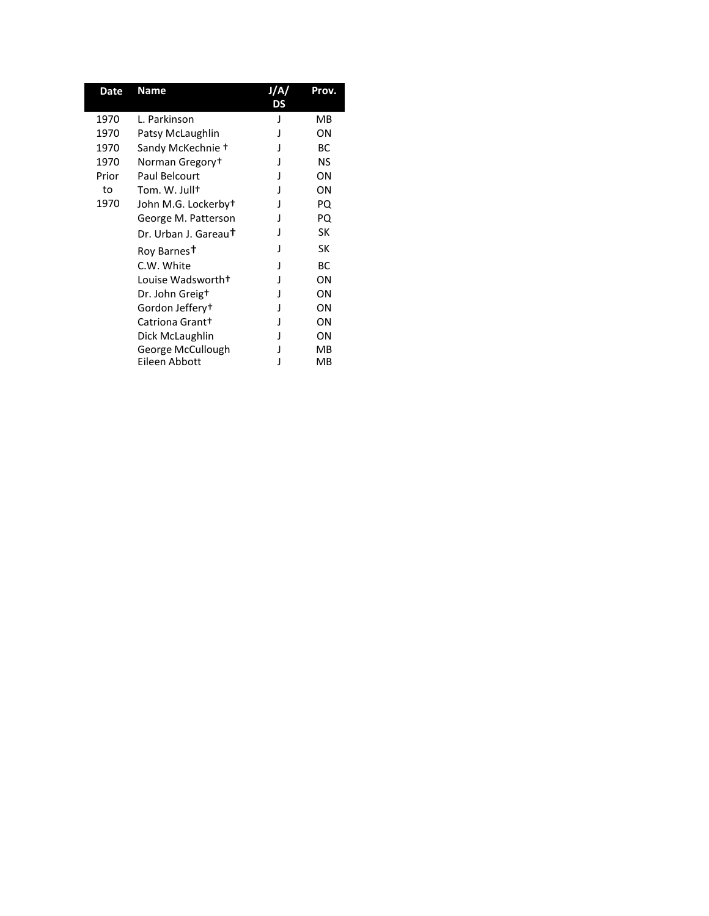| Date  | <b>Name</b>                      | DS | Prov. |
|-------|----------------------------------|----|-------|
| 1970  | L. Parkinson                     |    | MВ    |
| 1970  | Patsy McLaughlin                 |    | ΟN    |
| 1970  | Sandy McKechnie +                |    | BC.   |
| 1970  | Norman Gregory <sup>+</sup>      |    | NS    |
| Prior | Paul Belcourt                    |    | ΟN    |
| to    | Tom. W. Jullt                    |    | ΟN    |
| 1970  | John M.G. Lockerbyt              |    | PQ    |
|       | George M. Patterson              |    | PQ    |
|       | Dr. Urban J. Gareau <sup>†</sup> |    | SK    |
|       | Roy Barnes <sup>†</sup>          |    | SK    |
|       | C.W. White                       |    | ВC    |
|       | Louise Wadsworth+                |    | ON    |
|       | Dr. John Greig <sup>+</sup>      |    | ΟN    |
|       | Gordon Jeffery†                  |    | ΟN    |
|       | Catriona Grant+                  |    | ΟN    |
|       | Dick McLaughlin                  |    | ON    |
|       | George McCullough                |    | MB    |
|       | Eileen Abbott                    |    | MB    |